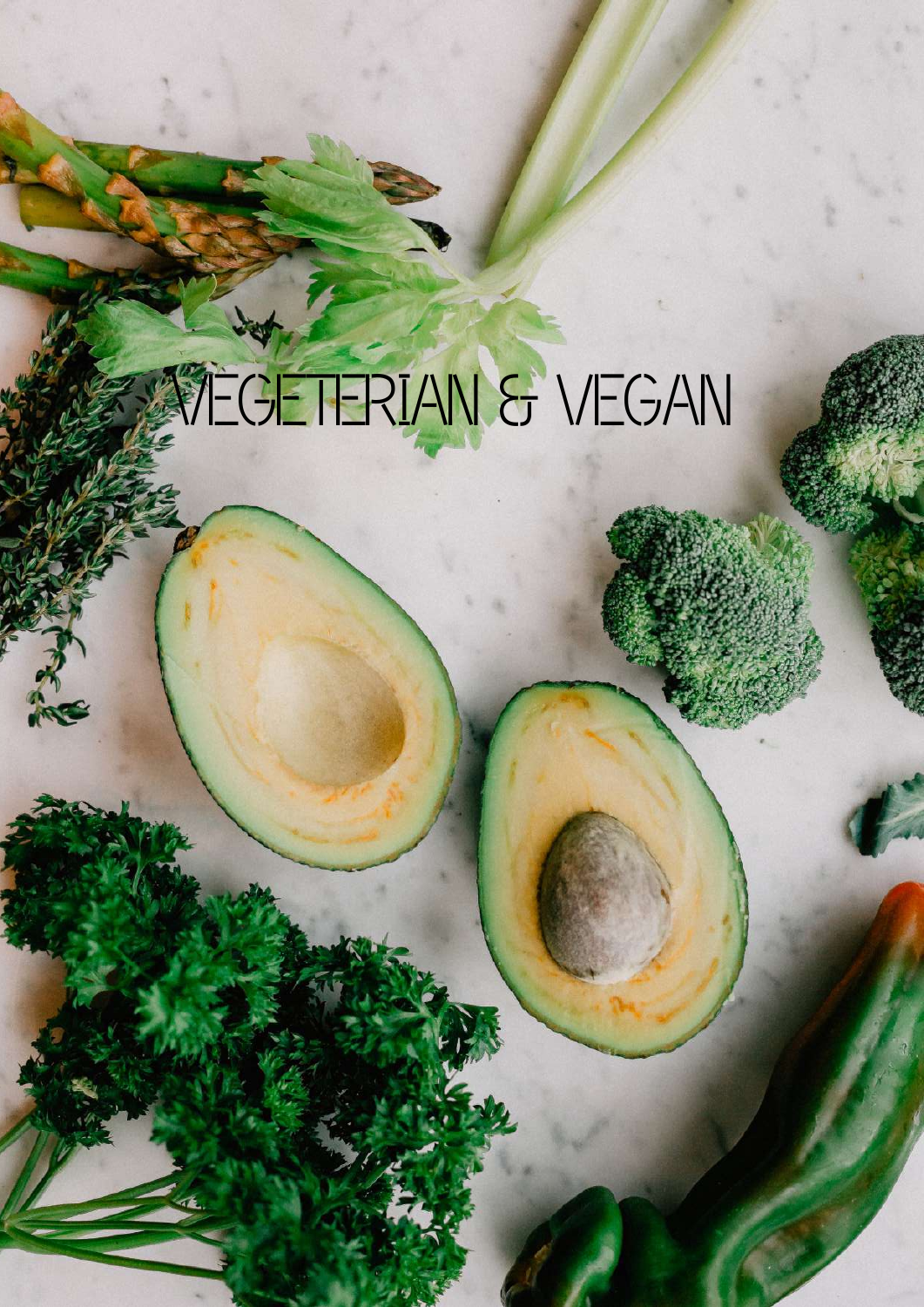# VEGETERIAN & VEGAN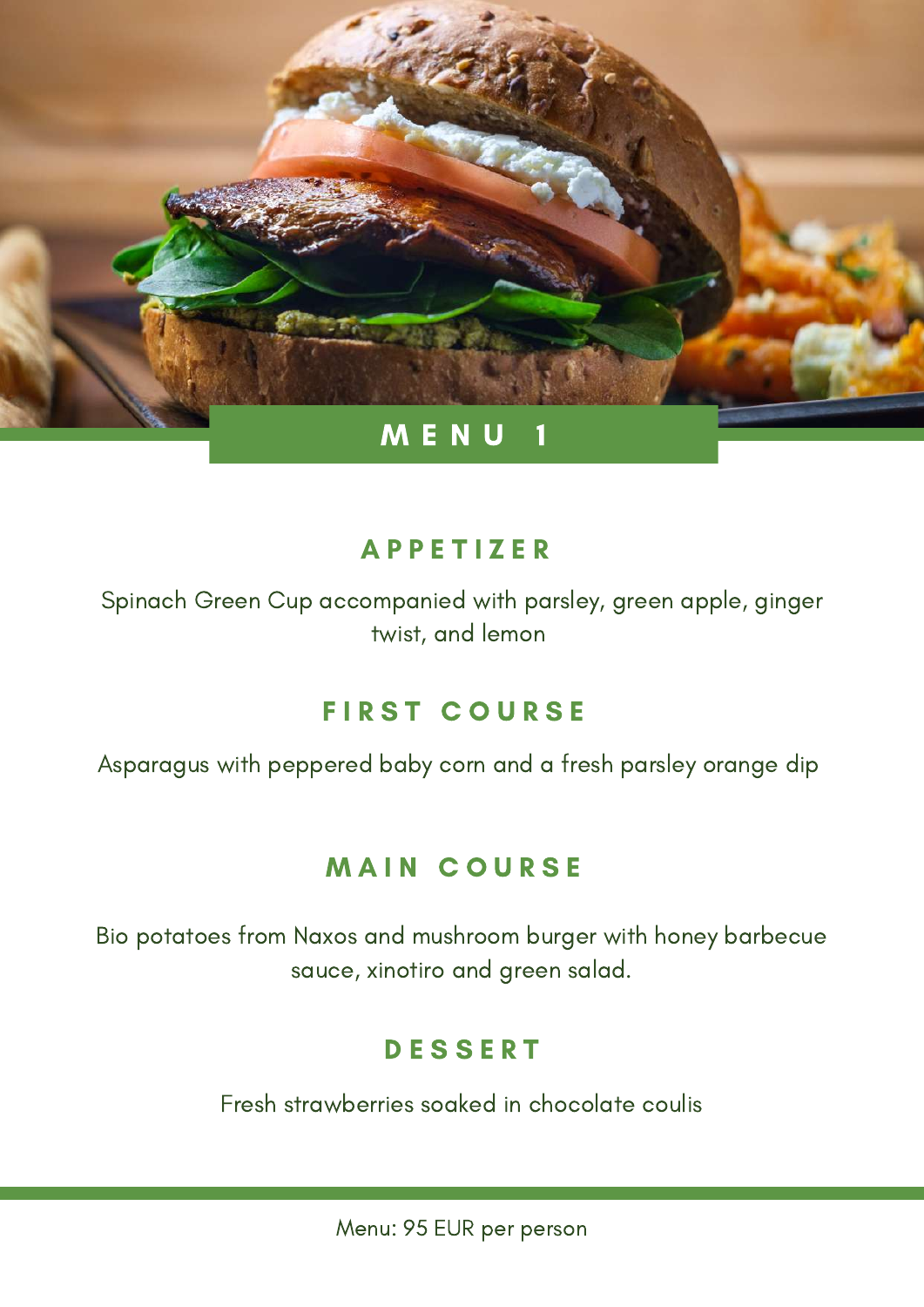

Spinach Green Cup accompanied with parsley, green apple, ginger twist, and lemon

# **FIRST COURSE**

Asparagus with peppered baby corn and a fresh parsley orange dip

# **MAIN COURSE**

Bio potatoes from Naxos and mushroom burger with honey barbecue sauce, xinotiro and green salad.

## **DESSERT**

Fresh strawberries soaked in chocolate coulis

Menu: 95 EUR per person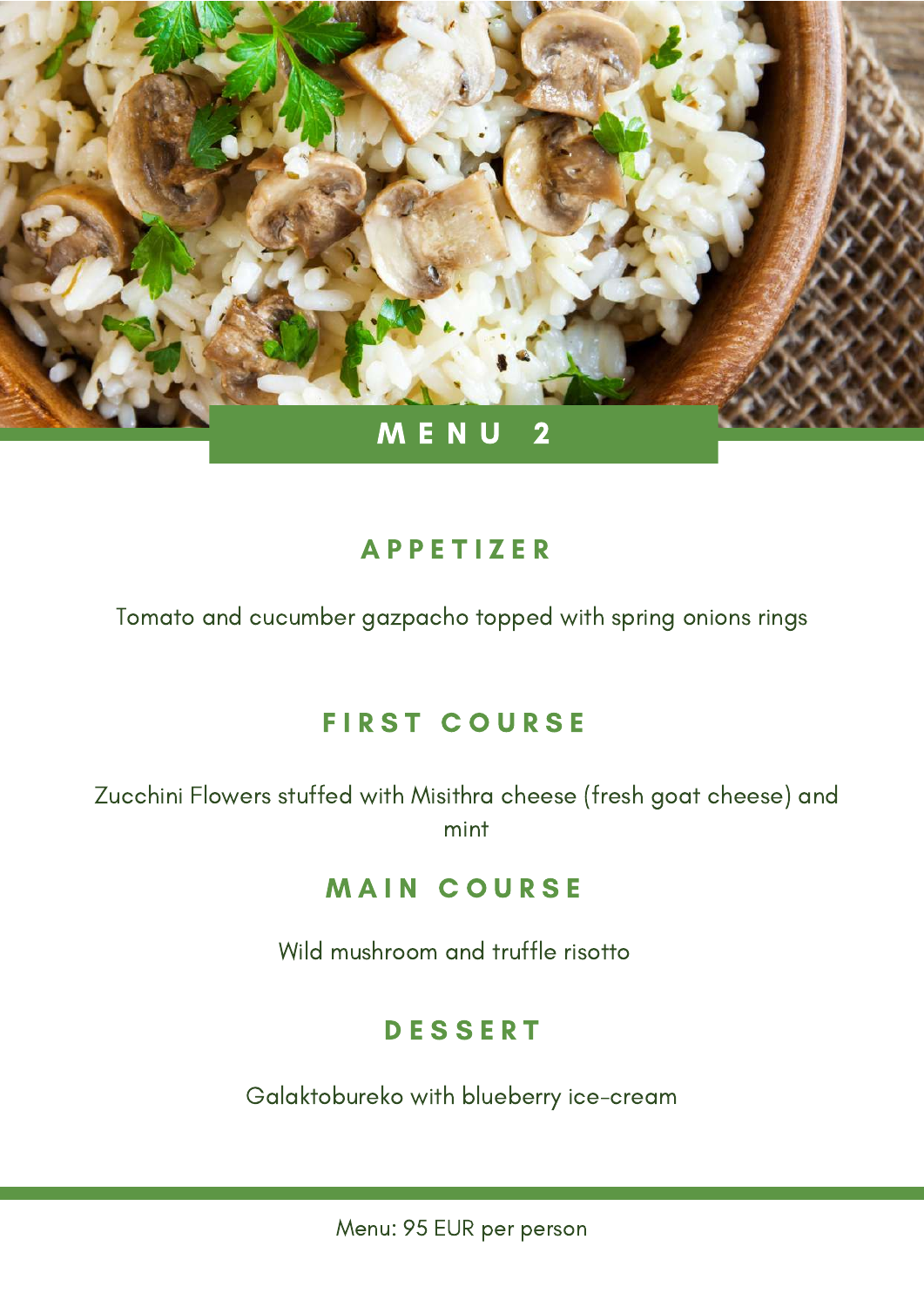

Tomato and cucumber gazpacho topped with spring onions rings

## **FIRST COURSE**

Zucchini Flowers stuffed with Misithra cheese (fresh goat cheese) and mint

#### **MAIN COURSE**

Wild mushroom and truffle risotto

#### **DESSERT**

Galaktobureko with blueberry ice-cream

Menu: 95 EUR per person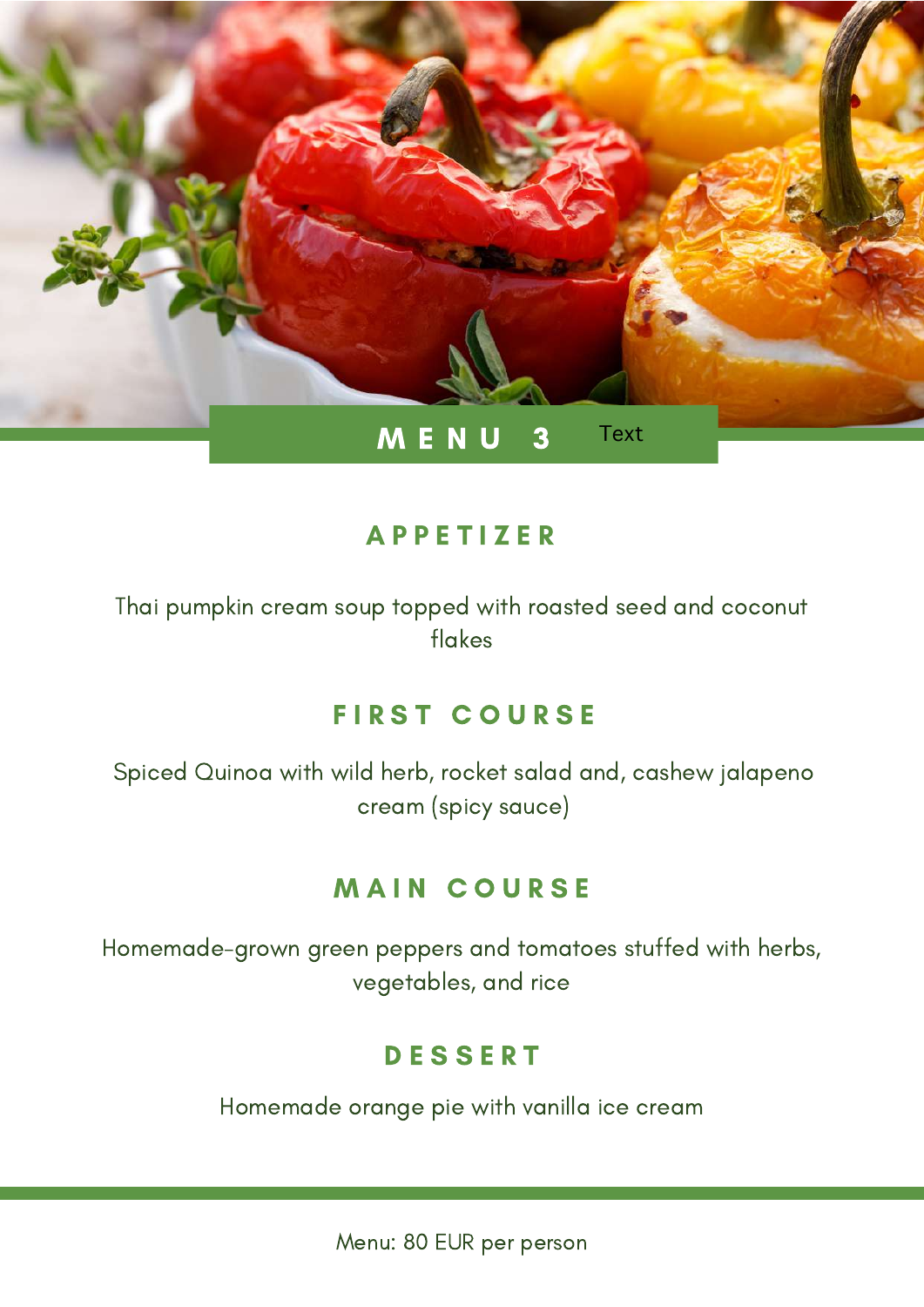

Thai pumpkin cream soup topped with roasted seed and coconut flakes

#### **FIRST COURSE**

Spiced Quinoa with wild herb, rocket salad and, cashew jalapeno cream (spicy sauce)

#### **MAIN COURSE**

Homemade-grown green peppers and tomatoes stuffed with herbs, vegetables, and rice

## **DESSERT**

Homemade orange pie with vanilla ice cream

Menu: 80 EUR per person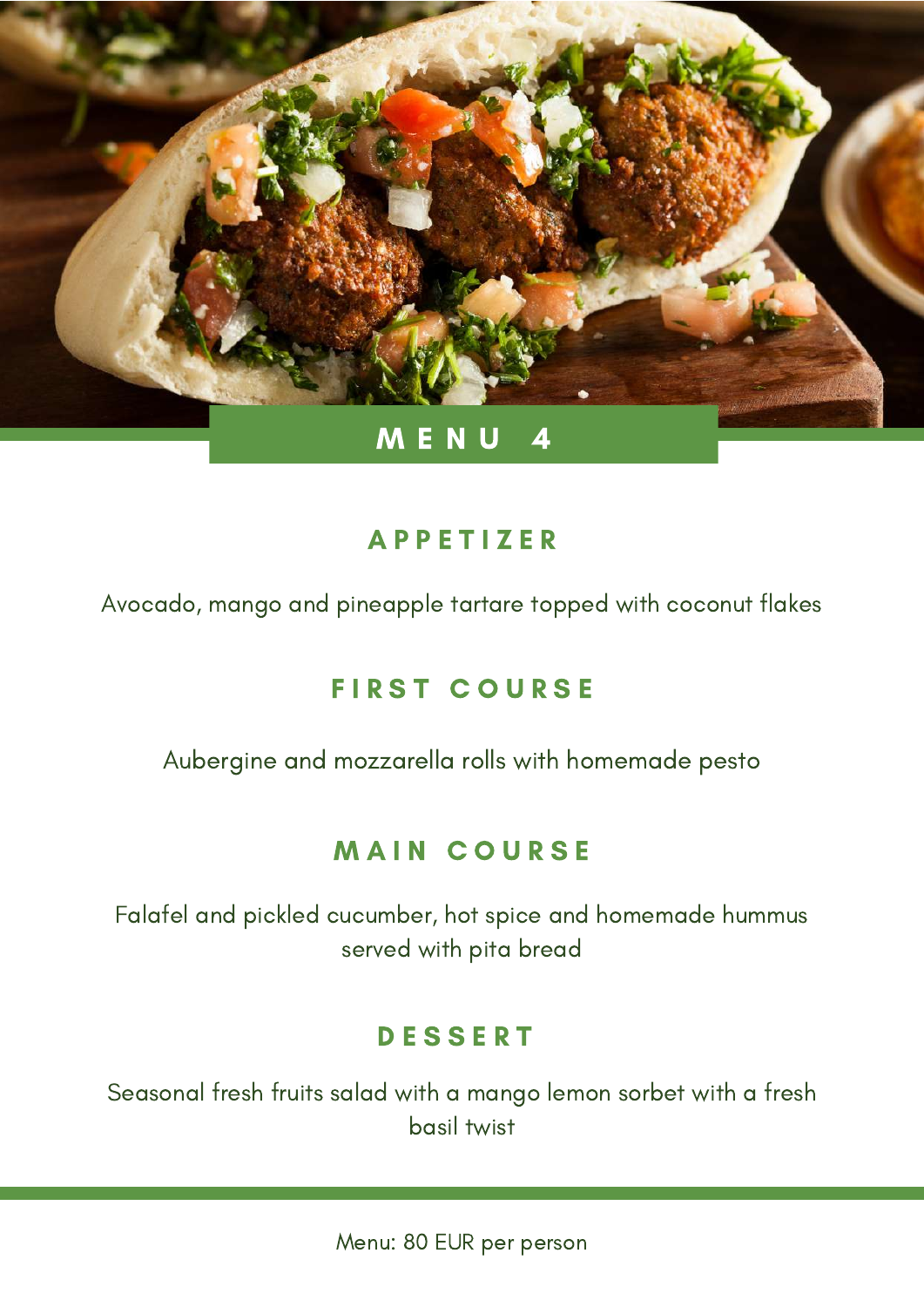

Avocado, mango and pineapple tartare topped with coconut flakes

# **FIRST COURSE**

Aubergine and mozzarella rolls with homemade pesto

# **MAIN COURSE**

Falafel and pickled cucumber, hot spice and homemade hummus served with pita bread

## **DESSERT**

Seasonal fresh fruits salad with a mango lemon sorbet with a fresh basil twist

Menu: 80 EUR per person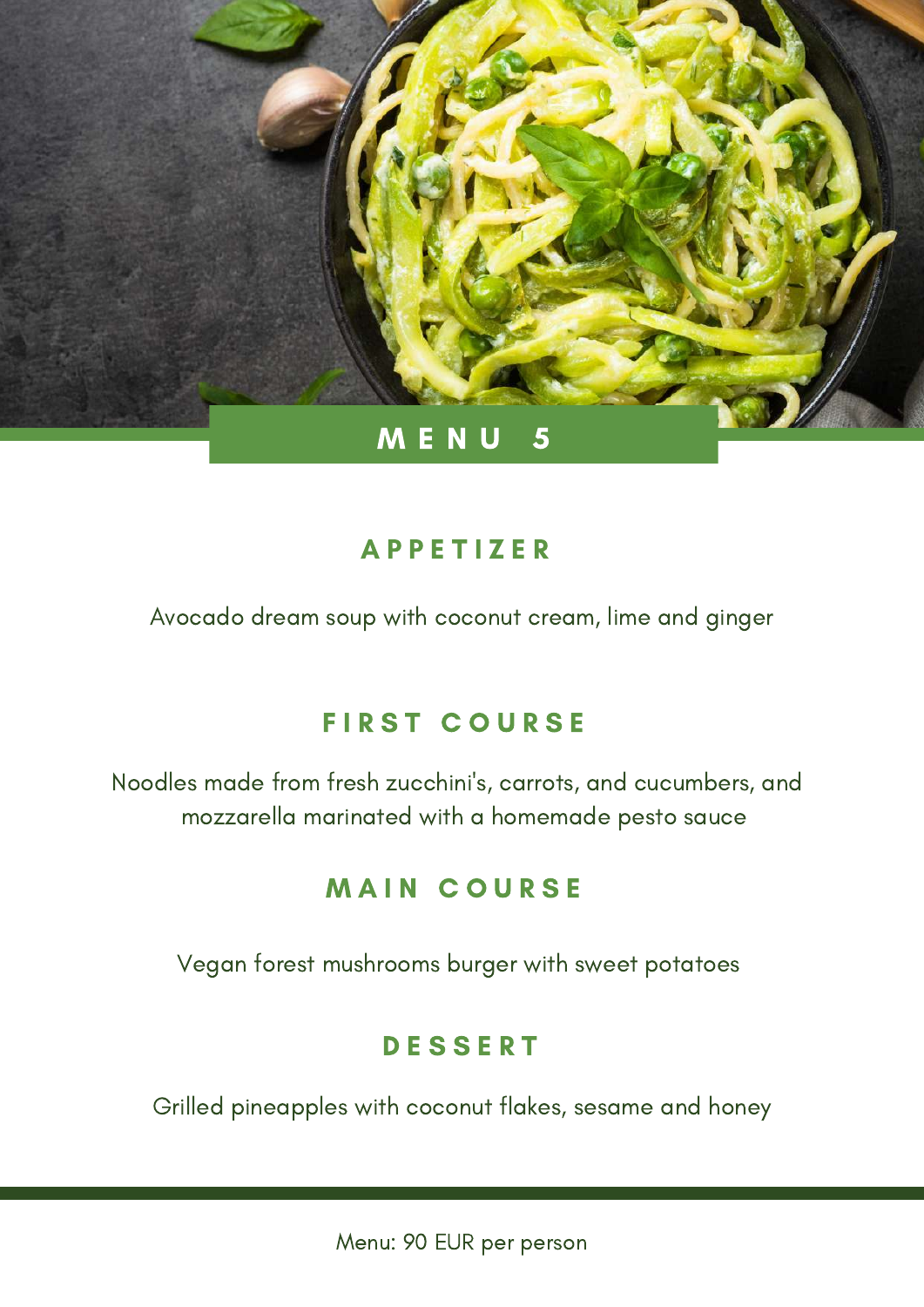

Avocado dream soup with coconut cream, lime and ginger

# **FIRST COURSE**

Noodles made from fresh zucchini's, carrots, and cucumbers, and mozzarella marinated with a homemade pesto sauce

## **MAIN COURSE**

Vegan forest mushrooms burger with sweet potatoes

# **DESSERT**

Grilled pineapples with coconut flakes, sesame and honey

Menu: 90 EUR per person